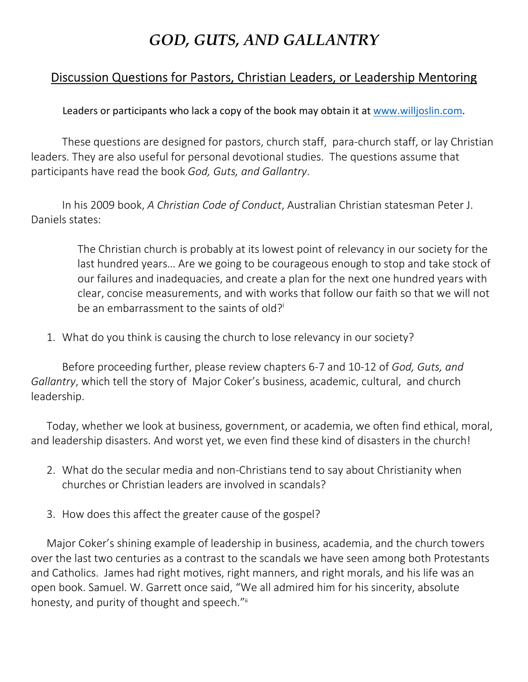## *GOD, GUTS, AND GALLANTRY*

## Discussion Questions for Pastors, Christian Leaders, or Leadership Mentoring

Leaders or participants who lack a copy of the book may obtain it at www.willjoslin.com.

 These questions are designed for pastors, church staff, para-church staff, or lay Christian leaders. They are also useful for personal devotional studies. The questions assume that participants have read the book *God, Guts, and Gallantry*.

In his 2009 book, *A Christian Code of Conduct*, Australian Christian statesman Peter J. Daniels states:

> The Christian church is probably at its lowest point of relevancy in our society for the last hundred years… Are we going to be courageous enough to stop and take stock of our failures and inadequacies, and create a plan for the next one hundred years with clear, concise measurements, and with works that follow our faith so that we will not be an embarrassment to the saints of old?<sup>i</sup>

1. What do you think is causing the church to lose relevancy in our society?

Before proceeding further, please review chapters 6-7 and 10-12 of *God, Guts, and Gallantry*, which tell the story of Major Coker's business, academic, cultural, and church leadership.

Today, whether we look at business, government, or academia, we often find ethical, moral, and leadership disasters. And worst yet, we even find these kind of disasters in the church!

- 2. What do the secular media and non-Christians tend to say about Christianity when churches or Christian leaders are involved in scandals?
- 3. How does this affect the greater cause of the gospel?

Major Coker's shining example of leadership in business, academia, and the church towers over the last two centuries as a contrast to the scandals we have seen among both Protestants and Catholics. James had right motives, right manners, and right morals, and his life was an open book. Samuel. W. Garrett once said, "We all admired him for his sincerity, absolute honesty, and purity of thought and speech."ii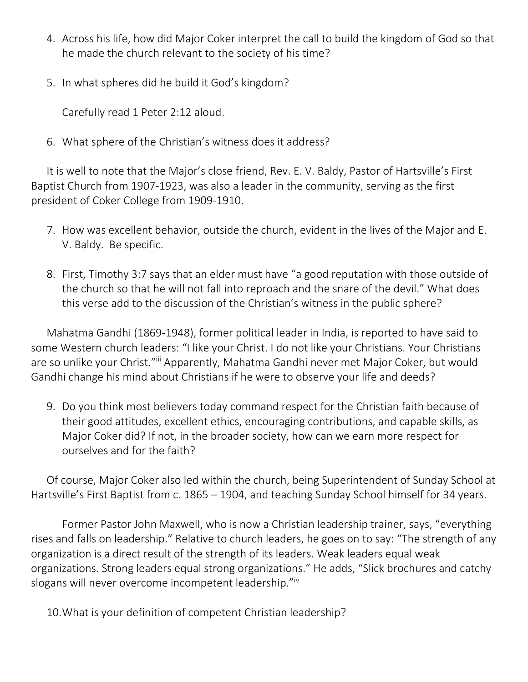- 4. Across his life, how did Major Coker interpret the call to build the kingdom of God so that he made the church relevant to the society of his time?
- 5. In what spheres did he build it God's kingdom?

Carefully read 1 Peter 2:12 aloud.

6. What sphere of the Christian's witness does it address?

It is well to note that the Major's close friend, Rev. E. V. Baldy, Pastor of Hartsville's First Baptist Church from 1907-1923, was also a leader in the community, serving as the first president of Coker College from 1909-1910.

- 7. How was excellent behavior, outside the church, evident in the lives of the Major and E. V. Baldy. Be specific.
- 8. First, Timothy 3:7 says that an elder must have "a good reputation with those outside of the church so that he will not fall into reproach and the snare of the devil." What does this verse add to the discussion of the Christian's witness in the public sphere?

Mahatma Gandhi (1869-1948), former political leader in India, is reported to have said to some Western church leaders: "I like your Christ. I do not like your Christians. Your Christians are so unlike your Christ."iii Apparently, Mahatma Gandhi never met Major Coker, but would Gandhi change his mind about Christians if he were to observe your life and deeds?

9. Do you think most believers today command respect for the Christian faith because of their good attitudes, excellent ethics, encouraging contributions, and capable skills, as Major Coker did? If not, in the broader society, how can we earn more respect for ourselves and for the faith?

Of course, Major Coker also led within the church, being Superintendent of Sunday School at Hartsville's First Baptist from c. 1865 – 1904, and teaching Sunday School himself for 34 years.

Former Pastor John Maxwell, who is now a Christian leadership trainer, says, "everything rises and falls on leadership." Relative to church leaders, he goes on to say: "The strength of any organization is a direct result of the strength of its leaders. Weak leaders equal weak organizations. Strong leaders equal strong organizations." He adds, "Slick brochures and catchy slogans will never overcome incompetent leadership."iv

10.What is your definition of competent Christian leadership?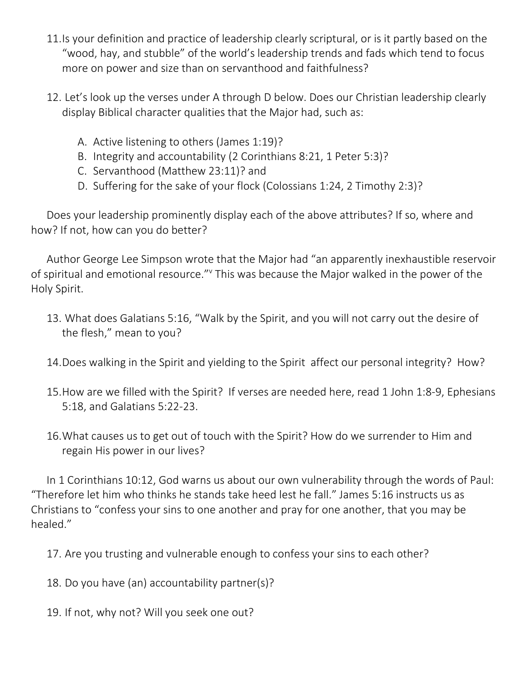- 11.Is your definition and practice of leadership clearly scriptural, or is it partly based on the "wood, hay, and stubble" of the world's leadership trends and fads which tend to focus more on power and size than on servanthood and faithfulness?
- 12. Let's look up the verses under A through D below. Does our Christian leadership clearly display Biblical character qualities that the Major had, such as:
	- A. Active listening to others (James 1:19)?
	- B. Integrity and accountability (2 Corinthians 8:21, 1 Peter 5:3)?
	- C. Servanthood (Matthew 23:11)? and
	- D. Suffering for the sake of your flock (Colossians 1:24, 2 Timothy 2:3)?

Does your leadership prominently display each of the above attributes? If so, where and how? If not, how can you do better?

Author George Lee Simpson wrote that the Major had "an apparently inexhaustible reservoir of spiritual and emotional resource." This was because the Major walked in the power of the Holy Spirit.

- 13. What does Galatians 5:16, "Walk by the Spirit, and you will not carry out the desire of the flesh," mean to you?
- 14.Does walking in the Spirit and yielding to the Spirit affect our personal integrity? How?
- 15.How are we filled with the Spirit? If verses are needed here, read 1 John 1:8-9, Ephesians 5:18, and Galatians 5:22-23.
- 16.What causes us to get out of touch with the Spirit? How do we surrender to Him and regain His power in our lives?

In 1 Corinthians 10:12, God warns us about our own vulnerability through the words of Paul: "Therefore let him who thinks he stands take heed lest he fall." James 5:16 instructs us as Christians to "confess your sins to one another and pray for one another, that you may be healed."

17. Are you trusting and vulnerable enough to confess your sins to each other?

18. Do you have (an) accountability partner(s)?

19. If not, why not? Will you seek one out?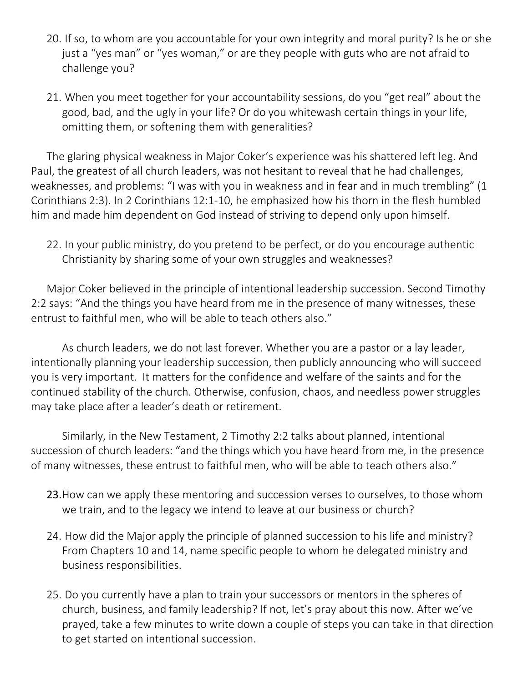- 20. If so, to whom are you accountable for your own integrity and moral purity? Is he or she just a "yes man" or "yes woman," or are they people with guts who are not afraid to challenge you?
- 21. When you meet together for your accountability sessions, do you "get real" about the good, bad, and the ugly in your life? Or do you whitewash certain things in your life, omitting them, or softening them with generalities?

The glaring physical weakness in Major Coker's experience was his shattered left leg. And Paul, the greatest of all church leaders, was not hesitant to reveal that he had challenges, weaknesses, and problems: "I was with you in weakness and in fear and in much trembling" (1 Corinthians 2:3). In 2 Corinthians 12:1-10, he emphasized how his thorn in the flesh humbled him and made him dependent on God instead of striving to depend only upon himself.

22. In your public ministry, do you pretend to be perfect, or do you encourage authentic Christianity by sharing some of your own struggles and weaknesses?

Major Coker believed in the principle of intentional leadership succession. Second Timothy 2:2 says: "And the things you have heard from me in the presence of many witnesses, these entrust to faithful men, who will be able to teach others also."

As church leaders, we do not last forever. Whether you are a pastor or a lay leader, intentionally planning your leadership succession, then publicly announcing who will succeed you is very important. It matters for the confidence and welfare of the saints and for the continued stability of the church. Otherwise, confusion, chaos, and needless power struggles may take place after a leader's death or retirement.

Similarly, in the New Testament, 2 Timothy 2:2 talks about planned, intentional succession of church leaders: "and the things which you have heard from me, in the presence of many witnesses, these entrust to faithful men, who will be able to teach others also."

- 23.How can we apply these mentoring and succession verses to ourselves, to those whom we train, and to the legacy we intend to leave at our business or church?
- 24. How did the Major apply the principle of planned succession to his life and ministry? From Chapters 10 and 14, name specific people to whom he delegated ministry and business responsibilities.
- 25. Do you currently have a plan to train your successors or mentors in the spheres of church, business, and family leadership? If not, let's pray about this now. After we've prayed, take a few minutes to write down a couple of steps you can take in that direction to get started on intentional succession.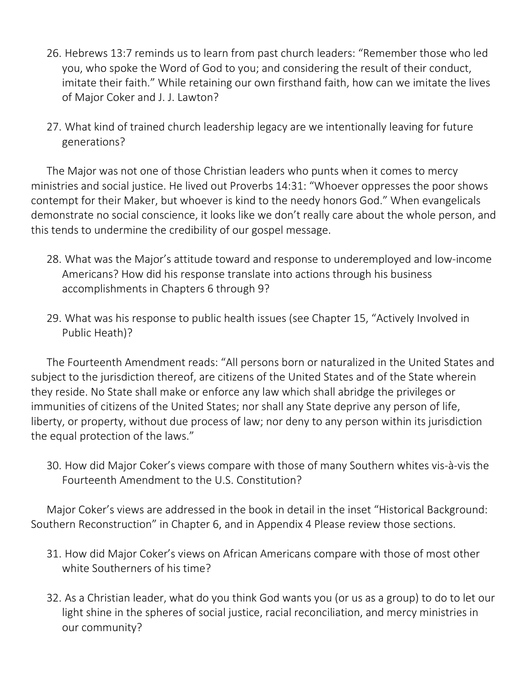- 26. Hebrews 13:7 reminds us to learn from past church leaders: "Remember those who led you, who spoke the Word of God to you; and considering the result of their conduct, imitate their faith." While retaining our own firsthand faith, how can we imitate the lives of Major Coker and J. J. Lawton?
- 27. What kind of trained church leadership legacy are we intentionally leaving for future generations?

The Major was not one of those Christian leaders who punts when it comes to mercy ministries and social justice. He lived out Proverbs 14:31: "Whoever oppresses the poor shows contempt for their Maker, but whoever is kind to the needy honors God." When evangelicals demonstrate no social conscience, it looks like we don't really care about the whole person, and this tends to undermine the credibility of our gospel message.

- 28. What was the Major's attitude toward and response to underemployed and low-income Americans? How did his response translate into actions through his business accomplishments in Chapters 6 through 9?
- 29. What was his response to public health issues (see Chapter 15, "Actively Involved in Public Heath)?

The Fourteenth Amendment reads: "All persons born or naturalized in the United States and subject to the jurisdiction thereof, are citizens of the United States and of the State wherein they reside. No State shall make or enforce any law which shall abridge the privileges or immunities of citizens of the United States; nor shall any State deprive any person of life, liberty, or property, without due process of law; nor deny to any person within its jurisdiction the equal protection of the laws."

30. How did Major Coker's views compare with those of many Southern whites vis-à-vis the Fourteenth Amendment to the U.S. Constitution?

Major Coker's views are addressed in the book in detail in the inset "Historical Background: Southern Reconstruction" in Chapter 6, and in Appendix 4 Please review those sections.

- 31. How did Major Coker's views on African Americans compare with those of most other white Southerners of his time?
- 32. As a Christian leader, what do you think God wants you (or us as a group) to do to let our light shine in the spheres of social justice, racial reconciliation, and mercy ministries in our community?